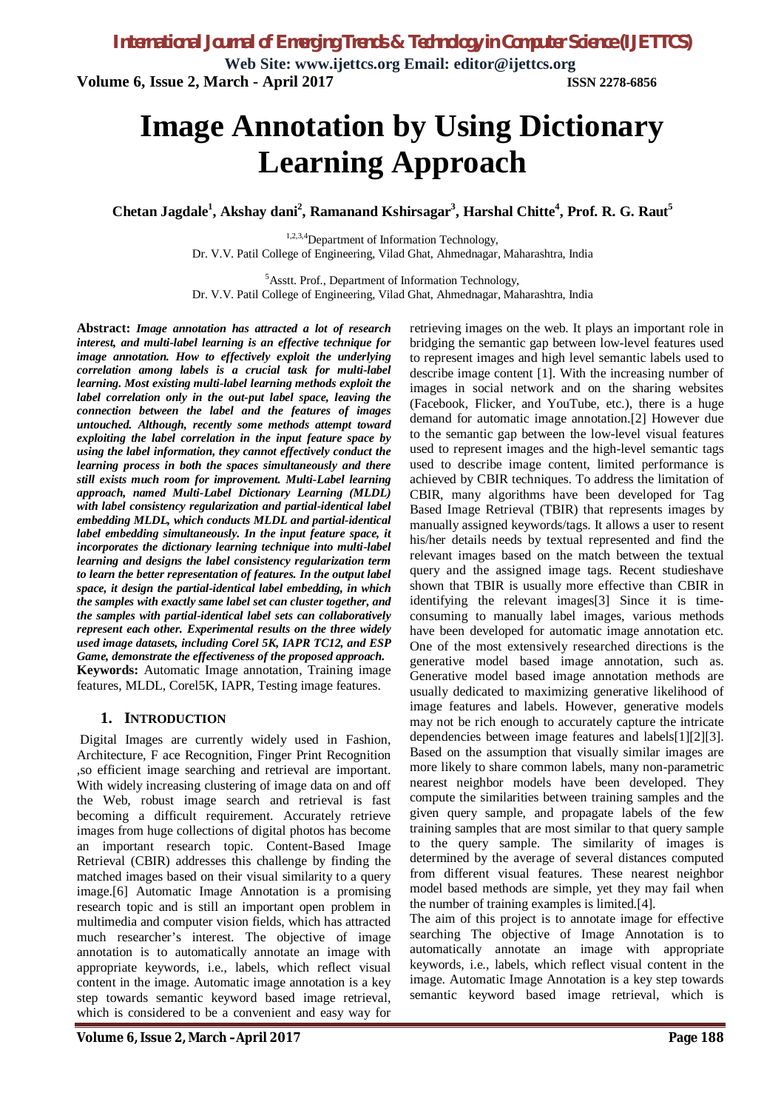**Web Site: www.ijettcs.org Email: editor@ijettcs.org Volume 6, Issue 2, March - April 2017 ISSN 2278-6856**

# **Image Annotation by Using Dictionary Learning Approach**

**Chetan Jagdale 1 , Akshay dani<sup>2</sup> , Ramanand Kshirsagar<sup>3</sup> , Harshal Chitte<sup>4</sup> , Prof. R. G. Raut<sup>5</sup>**

1,2,3,4Department of Information Technology, Dr. V.V. Patil College of Engineering, Vilad Ghat, Ahmednagar, Maharashtra, India

<sup>5</sup>Asstt. Prof., Department of Information Technology, Dr. V.V. Patil College of Engineering, Vilad Ghat, Ahmednagar, Maharashtra, India

**Abstract:** *Image annotation has attracted a lot of research interest, and multi-label learning is an effective technique for image annotation. How to effectively exploit the underlying correlation among labels is a crucial task for multi-label learning. Most existing multi-label learning methods exploit the label correlation only in the out-put label space, leaving the connection between the label and the features of images untouched. Although, recently some methods attempt toward exploiting the label correlation in the input feature space by using the label information, they cannot effectively conduct the learning process in both the spaces simultaneously and there still exists much room for improvement. Multi-Label learning approach, named Multi-Label Dictionary Learning (MLDL) with label consistency regularization and partial-identical label embedding MLDL, which conducts MLDL and partial-identical label embedding simultaneously. In the input feature space, it incorporates the dictionary learning technique into multi-label learning and designs the label consistency regularization term to learn the better representation of features. In the output label space, it design the partial-identical label embedding, in which the samples with exactly same label set can cluster together, and the samples with partial-identical label sets can collaboratively represent each other. Experimental results on the three widely used image datasets, including Corel 5K, IAPR TC12, and ESP Game, demonstrate the effectiveness of the proposed approach.* **Keywords:** Automatic Image annotation, Training image features, MLDL, Corel5K, IAPR, Testing image features.

### **1. INTRODUCTION**

Digital Images are currently widely used in Fashion, Architecture, F ace Recognition, Finger Print Recognition ,so efficient image searching and retrieval are important. With widely increasing clustering of image data on and off the Web, robust image search and retrieval is fast becoming a difficult requirement. Accurately retrieve images from huge collections of digital photos has become an important research topic. Content-Based Image Retrieval (CBIR) addresses this challenge by finding the matched images based on their visual similarity to a query image.[6] Automatic Image Annotation is a promising research topic and is still an important open problem in multimedia and computer vision fields, which has attracted much researcher's interest. The objective of image annotation is to automatically annotate an image with appropriate keywords, i.e., labels, which reflect visual content in the image. Automatic image annotation is a key step towards semantic keyword based image retrieval, which is considered to be a convenient and easy way for retrieving images on the web. It plays an important role in bridging the semantic gap between low-level features used to represent images and high level semantic labels used to describe image content [1]. With the increasing number of images in social network and on the sharing websites (Facebook, Flicker, and YouTube, etc.), there is a huge demand for automatic image annotation.[2] However due to the semantic gap between the low-level visual features used to represent images and the high-level semantic tags used to describe image content, limited performance is achieved by CBIR techniques. To address the limitation of CBIR, many algorithms have been developed for Tag Based Image Retrieval (TBIR) that represents images by manually assigned keywords/tags. It allows a user to resent his/her details needs by textual represented and find the relevant images based on the match between the textual query and the assigned image tags. Recent studieshave shown that TBIR is usually more effective than CBIR in identifying the relevant images[3] Since it is timeconsuming to manually label images, various methods have been developed for automatic image annotation etc. One of the most extensively researched directions is the generative model based image annotation, such as. Generative model based image annotation methods are usually dedicated to maximizing generative likelihood of image features and labels. However, generative models may not be rich enough to accurately capture the intricate dependencies between image features and labels[1][2][3]. Based on the assumption that visually similar images are more likely to share common labels, many non-parametric nearest neighbor models have been developed. They compute the similarities between training samples and the given query sample, and propagate labels of the few training samples that are most similar to that query sample to the query sample. The similarity of images is determined by the average of several distances computed from different visual features. These nearest neighbor model based methods are simple, yet they may fail when the number of training examples is limited.[4].

The aim of this project is to annotate image for effective searching The objective of Image Annotation is to automatically annotate an image with appropriate keywords, i.e., labels, which reflect visual content in the image. Automatic Image Annotation is a key step towards semantic keyword based image retrieval, which is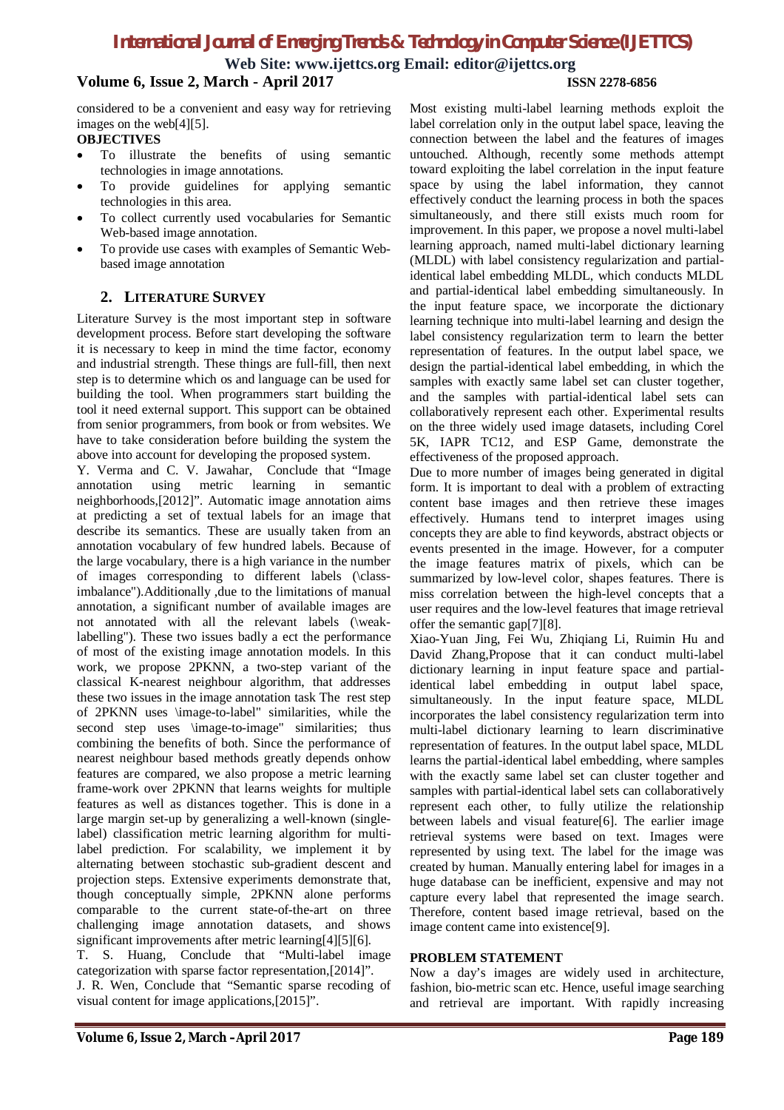## *International Journal of Emerging Trends & Technology in Computer Science (IJETTCS)*

**Web Site: www.ijettcs.org Email: editor@ijettcs.org**

### **Volume 6, Issue 2, March - April 2017 ISSN 2278-6856**

considered to be a convenient and easy way for retrieving images on the web[4][5].

### **OBJECTIVES**

- To illustrate the benefits of using semantic technologies in image annotations.
- To provide guidelines for applying semantic technologies in this area.
- To collect currently used vocabularies for Semantic Web-based image annotation.
- To provide use cases with examples of Semantic Webbased image annotation

### **2. LITERATURE SURVEY**

Literature Survey is the most important step in software development process. Before start developing the software it is necessary to keep in mind the time factor, economy and industrial strength. These things are full-fill, then next step is to determine which os and language can be used for building the tool. When programmers start building the tool it need external support. This support can be obtained from senior programmers, from book or from websites. We have to take consideration before building the system the above into account for developing the proposed system.

Y. Verma and C. V. Jawahar, Conclude that "Image annotation using metric learning in semantic neighborhoods,[2012]". Automatic image annotation aims at predicting a set of textual labels for an image that describe its semantics. These are usually taken from an annotation vocabulary of few hundred labels. Because of the large vocabulary, there is a high variance in the number of images corresponding to different labels (\classimbalance").Additionally ,due to the limitations of manual annotation, a significant number of available images are not annotated with all the relevant labels (\weaklabelling"). These two issues badly a ect the performance of most of the existing image annotation models. In this work, we propose 2PKNN, a two-step variant of the classical K-nearest neighbour algorithm, that addresses these two issues in the image annotation task The rest step of 2PKNN uses \image-to-label" similarities, while the second step uses \image-to-image" similarities; thus combining the benefits of both. Since the performance of nearest neighbour based methods greatly depends onhow features are compared, we also propose a metric learning frame-work over 2PKNN that learns weights for multiple features as well as distances together. This is done in a large margin set-up by generalizing a well-known (singlelabel) classification metric learning algorithm for multilabel prediction. For scalability, we implement it by alternating between stochastic sub-gradient descent and projection steps. Extensive experiments demonstrate that, though conceptually simple, 2PKNN alone performs comparable to the current state-of-the-art on three challenging image annotation datasets, and shows significant improvements after metric learning[4][5][6]. T. S. Huang, Conclude that "Multi-label image categorization with sparse factor representation,[2014]". J. R. Wen, Conclude that "Semantic sparse recoding of

Most existing multi-label learning methods exploit the label correlation only in the output label space, leaving the connection between the label and the features of images untouched. Although, recently some methods attempt toward exploiting the label correlation in the input feature space by using the label information, they cannot effectively conduct the learning process in both the spaces simultaneously, and there still exists much room for improvement. In this paper, we propose a novel multi-label learning approach, named multi-label dictionary learning (MLDL) with label consistency regularization and partialidentical label embedding MLDL, which conducts MLDL and partial-identical label embedding simultaneously. In the input feature space, we incorporate the dictionary learning technique into multi-label learning and design the label consistency regularization term to learn the better representation of features. In the output label space, we design the partial-identical label embedding, in which the samples with exactly same label set can cluster together, and the samples with partial-identical label sets can collaboratively represent each other. Experimental results on the three widely used image datasets, including Corel 5K, IAPR TC12, and ESP Game, demonstrate the effectiveness of the proposed approach.

Due to more number of images being generated in digital form. It is important to deal with a problem of extracting content base images and then retrieve these images effectively. Humans tend to interpret images using concepts they are able to find keywords, abstract objects or events presented in the image. However, for a computer the image features matrix of pixels, which can be summarized by low-level color, shapes features. There is miss correlation between the high-level concepts that a user requires and the low-level features that image retrieval offer the semantic gap[7][8].

Xiao-Yuan Jing, Fei Wu, Zhiqiang Li, Ruimin Hu and David Zhang,Propose that it can conduct multi-label dictionary learning in input feature space and partialidentical label embedding in output label space, simultaneously. In the input feature space, MLDL incorporates the label consistency regularization term into multi-label dictionary learning to learn discriminative representation of features. In the output label space, MLDL learns the partial-identical label embedding, where samples with the exactly same label set can cluster together and samples with partial-identical label sets can collaboratively represent each other, to fully utilize the relationship between labels and visual feature[6]. The earlier image retrieval systems were based on text. Images were represented by using text. The label for the image was created by human. Manually entering label for images in a huge database can be inefficient, expensive and may not capture every label that represented the image search. Therefore, content based image retrieval, based on the image content came into existence[9].

### **PROBLEM STATEMENT**

Now a day's images are widely used in architecture, fashion, bio-metric scan etc. Hence, useful image searching and retrieval are important. With rapidly increasing

visual content for image applications,[2015]".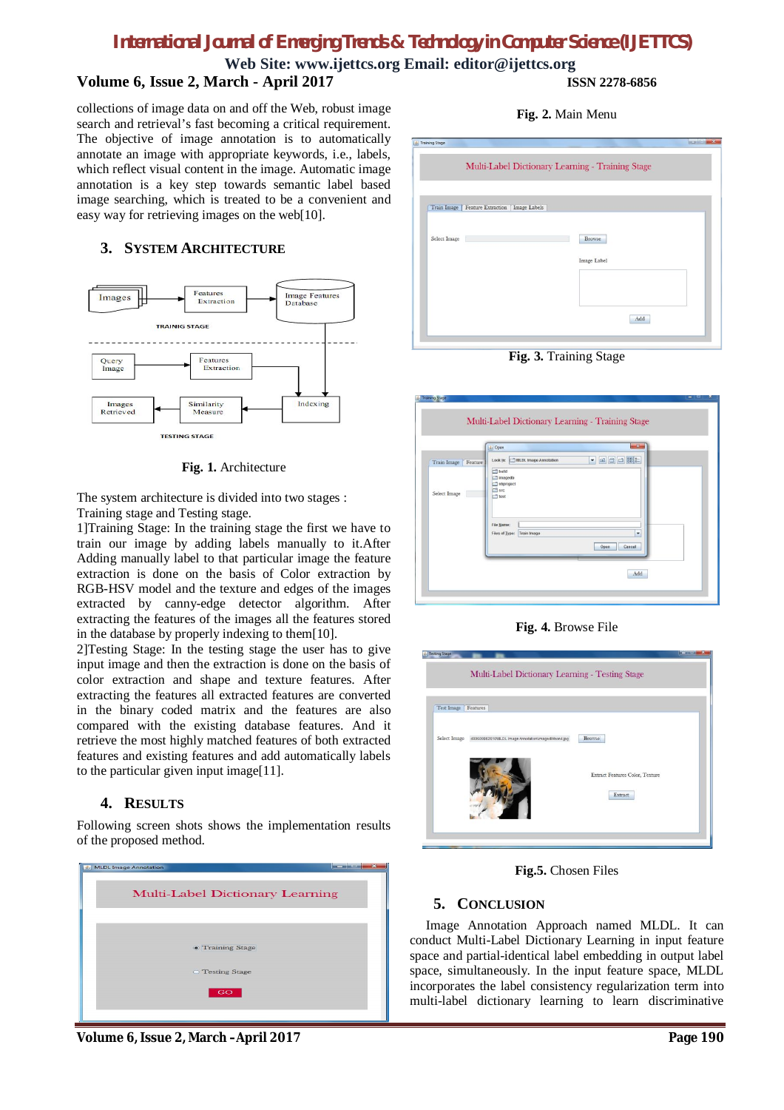# *International Journal of Emerging Trends & Technology in Computer Science (IJETTCS)*

**Web Site: www.ijettcs.org Email: editor@ijettcs.org Volume 6, Issue 2, March - April 2017 ISSN 2278-6856**

collections of image data on and off the Web, robust image search and retrieval's fast becoming a critical requirement. The objective of image annotation is to automatically annotate an image with appropriate keywords, i.e., labels, which reflect visual content in the image. Automatic image annotation is a key step towards semantic label based image searching, which is treated to be a convenient and easy way for retrieving images on the web[10].

### **3. SYSTEM ARCHITECTURE**



**Fig. 1.** Architecture

The system architecture is divided into two stages : Training stage and Testing stage.

1]Training Stage: In the training stage the first we have to

train our image by adding labels manually to it.After Adding manually label to that particular image the feature extraction is done on the basis of Color extraction by RGB-HSV model and the texture and edges of the images extracted by canny-edge detector algorithm. After extracting the features of the images all the features stored in the database by properly indexing to them[10].

2]Testing Stage: In the testing stage the user has to give input image and then the extraction is done on the basis of color extraction and shape and texture features. After extracting the features all extracted features are converted in the binary coded matrix and the features are also compared with the existing database features. And it retrieve the most highly matched features of both extracted features and existing features and add automatically labels to the particular given input image[11].

### **4. RESULTS**

Following screen shots shows the implementation results of the proposed method.



**Fig. 2.** Main Menu

|              | Multi-Label Dictionary Learning - Training Stage |
|--------------|--------------------------------------------------|
|              |                                                  |
|              | Train Image   Feature Extraction   Image Labels  |
|              |                                                  |
| Select Image | Browse                                           |
|              | Image Label                                      |
|              |                                                  |
|              |                                                  |
|              |                                                  |
|              | Add                                              |

**Fig. 3.** Training Stage

|                          | $-2-$<br>Cpen                                                      |
|--------------------------|--------------------------------------------------------------------|
| Train Image<br>Feature 1 | $\bullet$ 3 $\circ$ 3 $\circ$<br>MLDL Image Annotation<br>Look In: |
|                          | build<br>imagedb                                                   |
|                          | nbproject<br>$\Box$ src                                            |
| Select Image             | test                                                               |
|                          |                                                                    |
|                          |                                                                    |
|                          | File Name:                                                         |
|                          | Files of Type:<br>Train Image<br>٠                                 |
|                          | Cancel<br>Open                                                     |

**Fig. 4.** Browse File

| Test Image | Features                                                        |                                                      |
|------------|-----------------------------------------------------------------|------------------------------------------------------|
|            | Select Image 490609862610MLDL Image Annotation/imagedb/hon4.jpg | Browse<br>Extract Features Color, Texture<br>Extract |

**Fig.5.** Chosen Files

### **5. CONCLUSION**

 Image Annotation Approach named MLDL. It can conduct Multi-Label Dictionary Learning in input feature space and partial-identical label embedding in output label space, simultaneously. In the input feature space, MLDL incorporates the label consistency regularization term into multi-label dictionary learning to learn discriminative

**Volume 6, Issue 2, March –April 2017 Page 190**